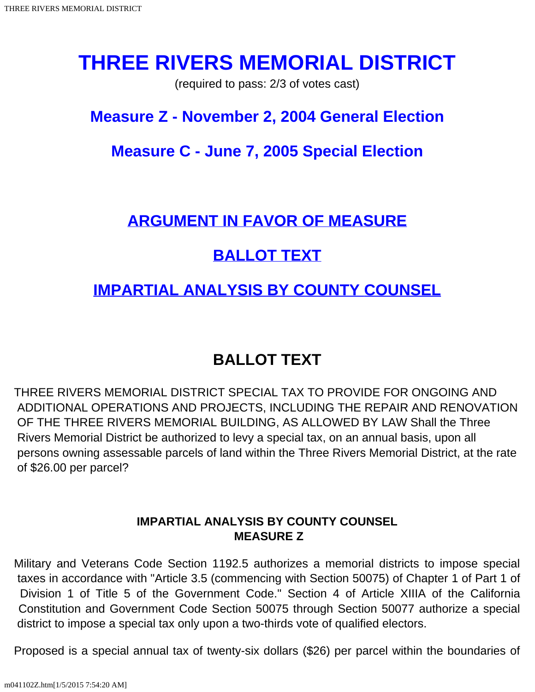# **THREE RIVERS MEMORIAL DISTRICT**

(required to pass: 2/3 of votes cast)

### **Measure Z - November 2, 2004 General Election**

### **Measure C - June 7, 2005 Special Election**

#### **[ARGUMENT IN FAVOR OF MEASURE](#page-1-0)**

## **[BALLOT TEXT](#page-0-0)**

#### **[IMPARTIAL ANALYSIS BY COUNTY COUNSEL](#page-0-1)**

### **BALLOT TEXT**

<span id="page-0-0"></span>THREE RIVERS MEMORIAL DISTRICT SPECIAL TAX TO PROVIDE FOR ONGOING AND ADDITIONAL OPERATIONS AND PROJECTS, INCLUDING THE REPAIR AND RENOVATION OF THE THREE RIVERS MEMORIAL BUILDING, AS ALLOWED BY LAW Shall the Three Rivers Memorial District be authorized to levy a special tax, on an annual basis, upon all persons owning assessable parcels of land within the Three Rivers Memorial District, at the rate of \$26.00 per parcel?

#### **IMPARTIAL ANALYSIS BY COUNTY COUNSEL MEASURE Z**

<span id="page-0-1"></span>Military and Veterans Code Section 1192.5 authorizes a memorial districts to impose special taxes in accordance with "Article 3.5 (commencing with Section 50075) of Chapter 1 of Part 1 of Division 1 of Title 5 of the Government Code." Section 4 of Article XIIIA of the California Constitution and Government Code Section 50075 through Section 50077 authorize a special district to impose a special tax only upon a two-thirds vote of qualified electors.

Proposed is a special annual tax of twenty-six dollars (\$26) per parcel within the boundaries of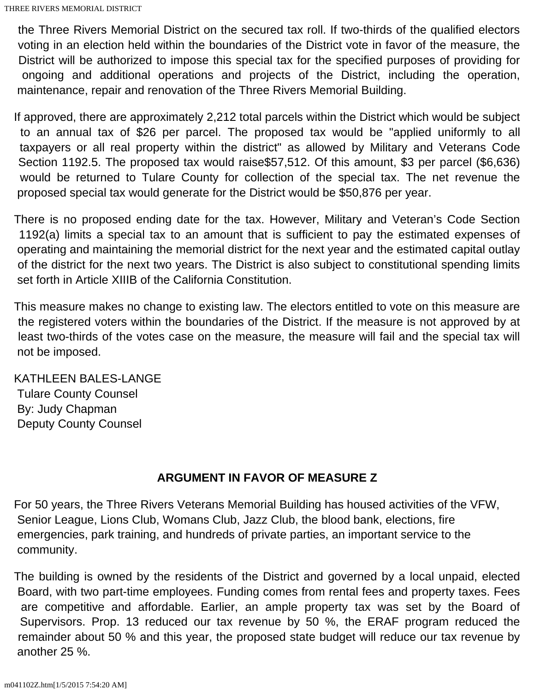the Three Rivers Memorial District on the secured tax roll. If two-thirds of the qualified electors voting in an election held within the boundaries of the District vote in favor of the measure, the District will be authorized to impose this special tax for the specified purposes of providing for ongoing and additional operations and projects of the District, including the operation, maintenance, repair and renovation of the Three Rivers Memorial Building.

If approved, there are approximately 2,212 total parcels within the District which would be subject to an annual tax of \$26 per parcel. The proposed tax would be "applied uniformly to all taxpayers or all real property within the district" as allowed by Military and Veterans Code Section 1192.5. The proposed tax would raise\$57,512. Of this amount, \$3 per parcel (\$6,636) would be returned to Tulare County for collection of the special tax. The net revenue the proposed special tax would generate for the District would be \$50,876 per year.

There is no proposed ending date for the tax. However, Military and Veteran's Code Section 1192(a) limits a special tax to an amount that is sufficient to pay the estimated expenses of operating and maintaining the memorial district for the next year and the estimated capital outlay of the district for the next two years. The District is also subject to constitutional spending limits set forth in Article XIIIB of the California Constitution.

This measure makes no change to existing law. The electors entitled to vote on this measure are the registered voters within the boundaries of the District. If the measure is not approved by at least two-thirds of the votes case on the measure, the measure will fail and the special tax will not be imposed.

#### KATHLEEN BALES-LANGE Tulare County Counsel By: Judy Chapman Deputy County Counsel

#### **ARGUMENT IN FAVOR OF MEASURE Z**

<span id="page-1-0"></span>For 50 years, the Three Rivers Veterans Memorial Building has housed activities of the VFW, Senior League, Lions Club, Womans Club, Jazz Club, the blood bank, elections, fire emergencies, park training, and hundreds of private parties, an important service to the community.

The building is owned by the residents of the District and governed by a local unpaid, elected Board, with two part-time employees. Funding comes from rental fees and property taxes. Fees are competitive and affordable. Earlier, an ample property tax was set by the Board of Supervisors. Prop. 13 reduced our tax revenue by 50 %, the ERAF program reduced the remainder about 50 % and this year, the proposed state budget will reduce our tax revenue by another 25 %.